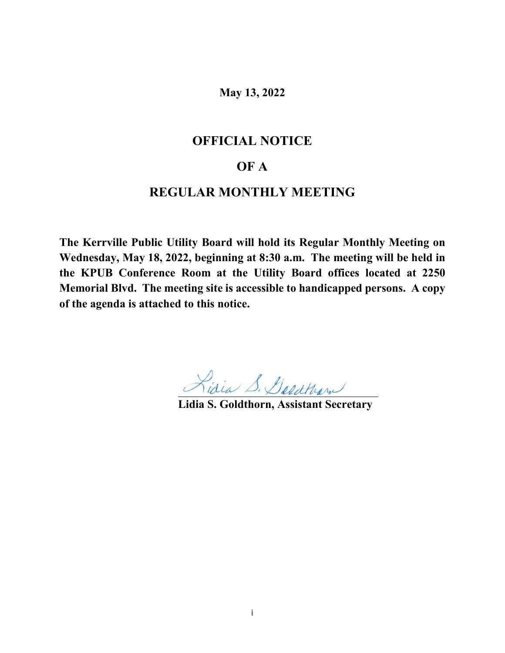**May 13, 2022**

# **OFFICIAL NOTICE**

# **OF A**

# **REGULAR MONTHLY MEETING**

**The Kerrville Public Utility Board will hold its Regular Monthly Meeting on Wednesday, May 18, 2022, beginning at 8:30 a.m. The meeting will be held in the KPUB Conference Room at the Utility Board offices located at 2250 Memorial Blvd. The meeting site is accessible to handicapped persons. A copy of the agenda is attached to this notice.**

**Lidia S. Goldthorn, Assistant Secretary**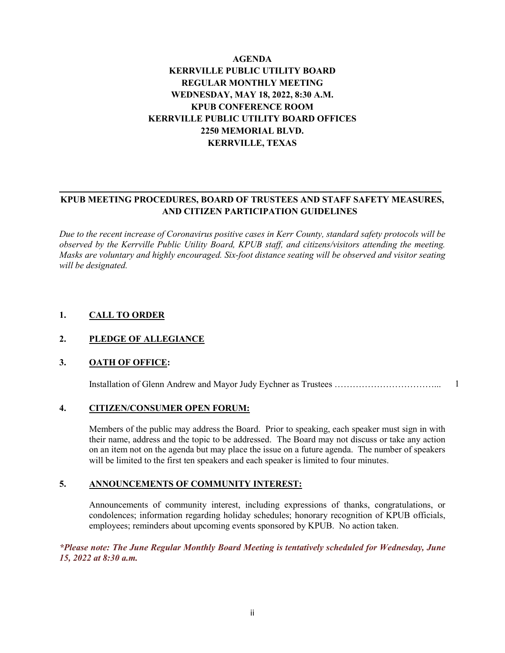# **AGENDA KERRVILLE PUBLIC UTILITY BOARD REGULAR MONTHLY MEETING WEDNESDAY, MAY 18, 2022, 8:30 A.M. KPUB CONFERENCE ROOM KERRVILLE PUBLIC UTILITY BOARD OFFICES 2250 MEMORIAL BLVD. KERRVILLE, TEXAS**

# **KPUB MEETING PROCEDURES, BOARD OF TRUSTEES AND STAFF SAFETY MEASURES, AND CITIZEN PARTICIPATION GUIDELINES**

*Due to the recent increase of Coronavirus positive cases in Kerr County, standard safety protocols will be observed by the Kerrville Public Utility Board, KPUB staff, and citizens/visitors attending the meeting. Masks are voluntary and highly encouraged. Six-foot distance seating will be observed and visitor seating will be designated.*

### **1. CALL TO ORDER**

#### **2. PLEDGE OF ALLEGIANCE**

### **3. OATH OF OFFICE:**

Installation of Glenn Andrew and Mayor Judy Eychner as Trustees ……………………………... 1

#### **4. CITIZEN/CONSUMER OPEN FORUM:**

Members of the public may address the Board. Prior to speaking, each speaker must sign in with their name, address and the topic to be addressed. The Board may not discuss or take any action on an item not on the agenda but may place the issue on a future agenda. The number of speakers will be limited to the first ten speakers and each speaker is limited to four minutes.

#### **5. ANNOUNCEMENTS OF COMMUNITY INTEREST:**

Announcements of community interest, including expressions of thanks, congratulations, or condolences; information regarding holiday schedules; honorary recognition of KPUB officials, employees; reminders about upcoming events sponsored by KPUB. No action taken.

*\*Please note: The June Regular Monthly Board Meeting is tentatively scheduled for Wednesday, June 15, 2022 at 8:30 a.m.*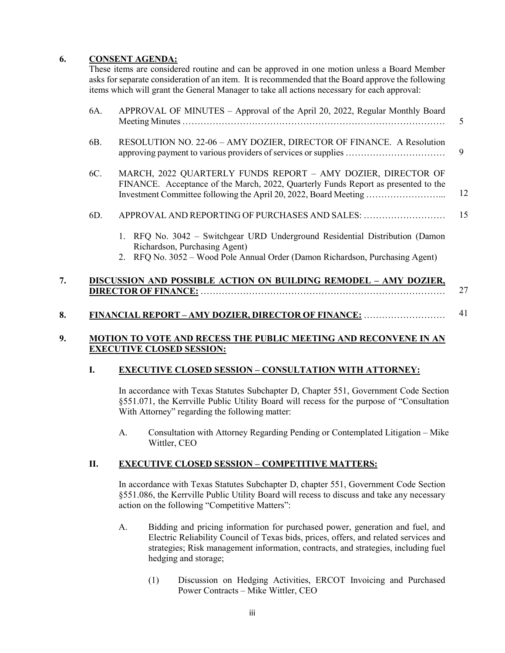#### **6. CONSENT AGENDA:**

These items are considered routine and can be approved in one motion unless a Board Member asks for separate consideration of an item. It is recommended that the Board approve the following items which will grant the General Manager to take all actions necessary for each approval:

| APPROVAL OF MINUTES - Approval of the April 20, 2022, Regular Monthly Board                                                                                                                                            | $\overline{\mathcal{L}}$ |
|------------------------------------------------------------------------------------------------------------------------------------------------------------------------------------------------------------------------|--------------------------|
| RESOLUTION NO. 22-06 - AMY DOZIER, DIRECTOR OF FINANCE. A Resolution                                                                                                                                                   | 9                        |
| MARCH, 2022 QUARTERLY FUNDS REPORT - AMY DOZIER, DIRECTOR OF<br>FINANCE. Acceptance of the March, 2022, Quarterly Funds Report as presented to the<br>Investment Committee following the April 20, 2022, Board Meeting | 12                       |
| APPROVAL AND REPORTING OF PURCHASES AND SALES:                                                                                                                                                                         | 15                       |
| 1. RFQ No. 3042 - Switchgear URD Underground Residential Distribution (Damon<br>Richardson, Purchasing Agent)                                                                                                          |                          |
| 2. RFQ No. 3052 – Wood Pole Annual Order (Damon Richardson, Purchasing Agent)                                                                                                                                          |                          |
| DISCUSSION AND POSSIBLE ACTION ON BUILDING REMODEL - AMY DOZIER,                                                                                                                                                       | 27                       |
|                                                                                                                                                                                                                        |                          |

#### **8. FINANCIAL REPORT – AMY DOZIER, DIRECTOR OF FINANCE:** ……………………… 41

#### **9. MOTION TO VOTE AND RECESS THE PUBLIC MEETING AND RECONVENE IN AN EXECUTIVE CLOSED SESSION:**

#### **I. EXECUTIVE CLOSED SESSION – CONSULTATION WITH ATTORNEY:**

In accordance with Texas Statutes Subchapter D, Chapter 551, Government Code Section §551.071, the Kerrville Public Utility Board will recess for the purpose of "Consultation With Attorney" regarding the following matter:

A. Consultation with Attorney Regarding Pending or Contemplated Litigation – Mike Wittler, CEO

#### **II. EXECUTIVE CLOSED SESSION – COMPETITIVE MATTERS:**

In accordance with Texas Statutes Subchapter D, chapter 551, Government Code Section §551.086, the Kerrville Public Utility Board will recess to discuss and take any necessary action on the following "Competitive Matters":

- A. Bidding and pricing information for purchased power, generation and fuel, and Electric Reliability Council of Texas bids, prices, offers, and related services and strategies; Risk management information, contracts, and strategies, including fuel hedging and storage;
	- (1) Discussion on Hedging Activities, ERCOT Invoicing and Purchased Power Contracts – Mike Wittler, CEO